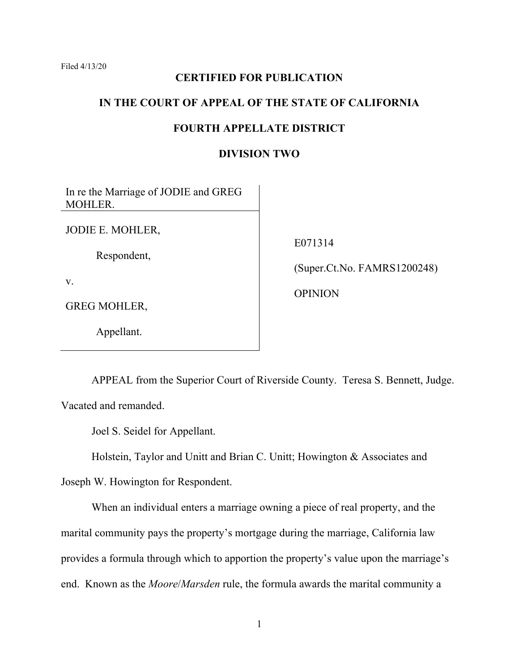Filed 4/13/20

## **CERTIFIED FOR PUBLICATION**

### **IN THE COURT OF APPEAL OF THE STATE OF CALIFORNIA**

## **FOURTH APPELLATE DISTRICT**

## **DIVISION TWO**

| In re the Marriage of JODIE and GREG<br>MOHLER. |                                                          |
|-------------------------------------------------|----------------------------------------------------------|
| JODIE E. MOHLER,<br>Respondent,                 | E071314<br>(Super.Ct.No. FAMRS1200248)<br><b>OPINION</b> |
| V.                                              |                                                          |
| <b>GREG MOHLER,</b>                             |                                                          |

APPEAL from the Superior Court of Riverside County. Teresa S. Bennett, Judge. Vacated and remanded.

Joel S. Seidel for Appellant.

Appellant.

Holstein, Taylor and Unitt and Brian C. Unitt; Howington & Associates and

Joseph W. Howington for Respondent.

When an individual enters a marriage owning a piece of real property, and the marital community pays the property's mortgage during the marriage, California law provides a formula through which to apportion the property's value upon the marriage's end. Known as the *Moore*/*Marsden* rule, the formula awards the marital community a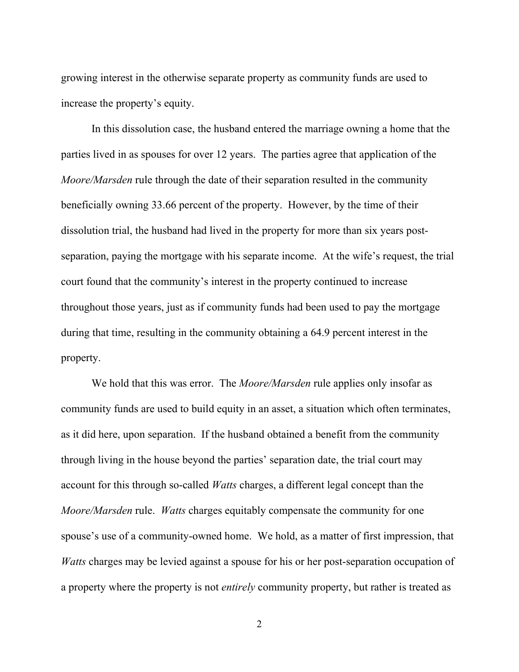growing interest in the otherwise separate property as community funds are used to increase the property's equity.

In this dissolution case, the husband entered the marriage owning a home that the parties lived in as spouses for over 12 years. The parties agree that application of the *Moore/Marsden* rule through the date of their separation resulted in the community beneficially owning 33.66 percent of the property. However, by the time of their dissolution trial, the husband had lived in the property for more than six years postseparation, paying the mortgage with his separate income. At the wife's request, the trial court found that the community's interest in the property continued to increase throughout those years, just as if community funds had been used to pay the mortgage during that time, resulting in the community obtaining a 64.9 percent interest in the property.

We hold that this was error. The *Moore/Marsden* rule applies only insofar as community funds are used to build equity in an asset, a situation which often terminates, as it did here, upon separation. If the husband obtained a benefit from the community through living in the house beyond the parties' separation date, the trial court may account for this through so-called *Watts* charges, a different legal concept than the *Moore/Marsden* rule. *Watts* charges equitably compensate the community for one spouse's use of a community-owned home. We hold, as a matter of first impression, that *Watts* charges may be levied against a spouse for his or her post-separation occupation of a property where the property is not *entirely* community property, but rather is treated as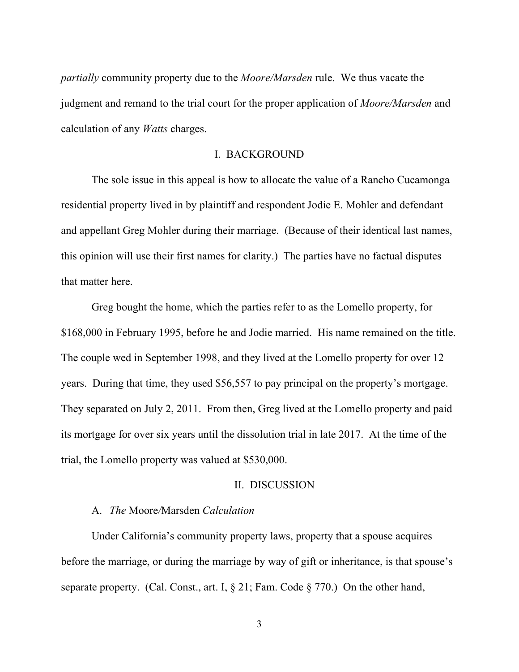*partially* community property due to the *Moore/Marsden* rule. We thus vacate the judgment and remand to the trial court for the proper application of *Moore/Marsden* and calculation of any *Watts* charges.

#### I. BACKGROUND

The sole issue in this appeal is how to allocate the value of a Rancho Cucamonga residential property lived in by plaintiff and respondent Jodie E. Mohler and defendant and appellant Greg Mohler during their marriage. (Because of their identical last names, this opinion will use their first names for clarity.) The parties have no factual disputes that matter here.

Greg bought the home, which the parties refer to as the Lomello property, for \$168,000 in February 1995, before he and Jodie married. His name remained on the title. The couple wed in September 1998, and they lived at the Lomello property for over 12 years. During that time, they used \$56,557 to pay principal on the property's mortgage. They separated on July 2, 2011. From then, Greg lived at the Lomello property and paid its mortgage for over six years until the dissolution trial in late 2017. At the time of the trial, the Lomello property was valued at \$530,000.

#### II. DISCUSSION

#### A. *The* Moore*/*Marsden *Calculation*

Under California's community property laws, property that a spouse acquires before the marriage, or during the marriage by way of gift or inheritance, is that spouse's separate property. (Cal. Const., art. I, § 21; Fam. Code § 770.) On the other hand,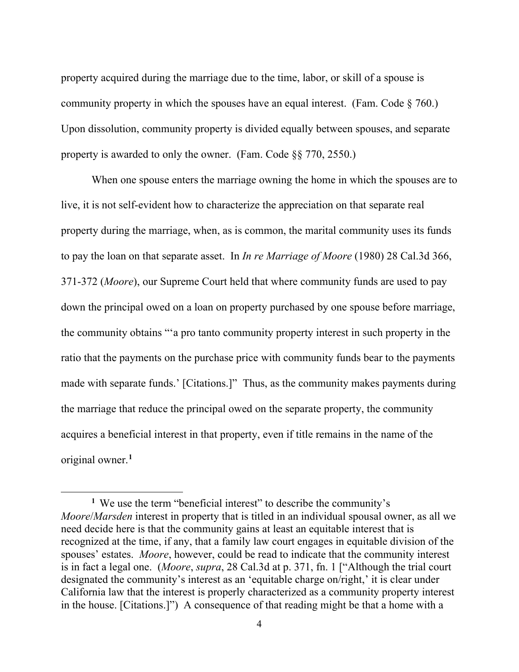property acquired during the marriage due to the time, labor, or skill of a spouse is community property in which the spouses have an equal interest. (Fam. Code  $\S$  760.) Upon dissolution, community property is divided equally between spouses, and separate property is awarded to only the owner. (Fam. Code §§ 770, 2550.)

When one spouse enters the marriage owning the home in which the spouses are to live, it is not self-evident how to characterize the appreciation on that separate real property during the marriage, when, as is common, the marital community uses its funds to pay the loan on that separate asset. In *In re Marriage of Moore* (1980) 28 Cal.3d 366, 371-372 (*Moore*), our Supreme Court held that where community funds are used to pay down the principal owed on a loan on property purchased by one spouse before marriage, the community obtains "'a pro tanto community property interest in such property in the ratio that the payments on the purchase price with community funds bear to the payments made with separate funds.' [Citations.]" Thus, as the community makes payments during the marriage that reduce the principal owed on the separate property, the community acquires a beneficial interest in that property, even if title remains in the name of the original owner.**[1](#page-3-0)**

<span id="page-3-0"></span>**<sup>1</sup>** We use the term "beneficial interest" to describe the community's *Moore*/*Marsden* interest in property that is titled in an individual spousal owner, as all we need decide here is that the community gains at least an equitable interest that is recognized at the time, if any, that a family law court engages in equitable division of the spouses' estates. *Moore*, however, could be read to indicate that the community interest is in fact a legal one. (*Moore*, *supra*, 28 Cal.3d at p. 371, fn. 1 ["Although the trial court designated the community's interest as an 'equitable charge on/right,' it is clear under California law that the interest is properly characterized as a community property interest in the house. [Citations.]") A consequence of that reading might be that a home with a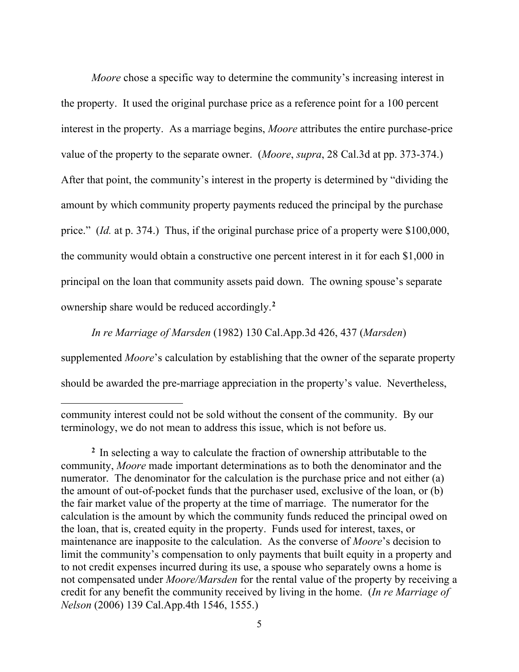*Moore* chose a specific way to determine the community's increasing interest in the property. It used the original purchase price as a reference point for a 100 percent interest in the property. As a marriage begins, *Moore* attributes the entire purchase-price value of the property to the separate owner. (*Moore*, *supra*, 28 Cal.3d at pp. 373-374.) After that point, the community's interest in the property is determined by "dividing the amount by which community property payments reduced the principal by the purchase price." (*Id.* at p. 374.) Thus, if the original purchase price of a property were \$100,000, the community would obtain a constructive one percent interest in it for each \$1,000 in principal on the loan that community assets paid down. The owning spouse's separate ownership share would be reduced accordingly.**[2](#page-4-0)**

*In re Marriage of Marsden* (1982) 130 Cal.App.3d 426, 437 (*Marsden*) supplemented *Moore*'s calculation by establishing that the owner of the separate property should be awarded the pre-marriage appreciation in the property's value. Nevertheless,

community interest could not be sold without the consent of the community. By our terminology, we do not mean to address this issue, which is not before us.

<span id="page-4-0"></span>**<sup>2</sup>** In selecting a way to calculate the fraction of ownership attributable to the community, *Moore* made important determinations as to both the denominator and the numerator. The denominator for the calculation is the purchase price and not either (a) the amount of out-of-pocket funds that the purchaser used, exclusive of the loan, or (b) the fair market value of the property at the time of marriage. The numerator for the calculation is the amount by which the community funds reduced the principal owed on the loan, that is, created equity in the property. Funds used for interest, taxes, or maintenance are inapposite to the calculation. As the converse of *Moore*'s decision to limit the community's compensation to only payments that built equity in a property and to not credit expenses incurred during its use, a spouse who separately owns a home is not compensated under *Moore/Marsden* for the rental value of the property by receiving a credit for any benefit the community received by living in the home. (*In re Marriage of Nelson* (2006) 139 Cal.App.4th 1546, 1555.)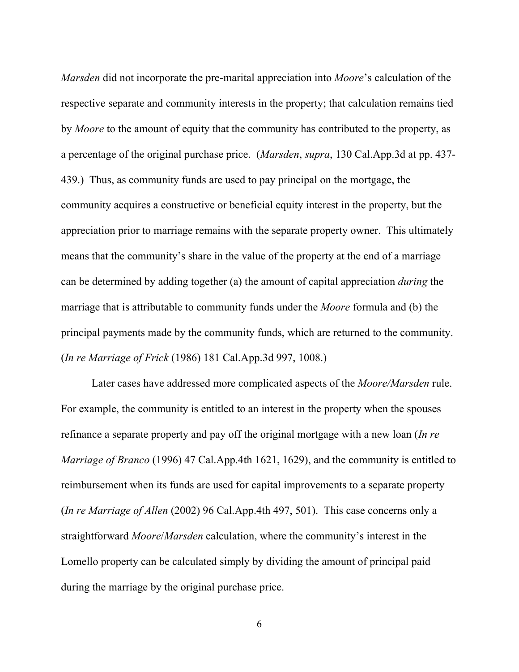*Marsden* did not incorporate the pre-marital appreciation into *Moore*'s calculation of the respective separate and community interests in the property; that calculation remains tied by *Moore* to the amount of equity that the community has contributed to the property, as a percentage of the original purchase price. (*Marsden*, *supra*, 130 Cal.App.3d at pp. 437- 439.) Thus, as community funds are used to pay principal on the mortgage, the community acquires a constructive or beneficial equity interest in the property, but the appreciation prior to marriage remains with the separate property owner. This ultimately means that the community's share in the value of the property at the end of a marriage can be determined by adding together (a) the amount of capital appreciation *during* the marriage that is attributable to community funds under the *Moore* formula and (b) the principal payments made by the community funds, which are returned to the community. (*In re Marriage of Frick* (1986) 181 Cal.App.3d 997, 1008.)

Later cases have addressed more complicated aspects of the *Moore/Marsden* rule. For example, the community is entitled to an interest in the property when the spouses refinance a separate property and pay off the original mortgage with a new loan (*In re Marriage of Branco* (1996) 47 Cal.App.4th 1621, 1629), and the community is entitled to reimbursement when its funds are used for capital improvements to a separate property (*In re Marriage of Allen* (2002) 96 Cal.App.4th 497, 501). This case concerns only a straightforward *Moore*/*Marsden* calculation, where the community's interest in the Lomello property can be calculated simply by dividing the amount of principal paid during the marriage by the original purchase price.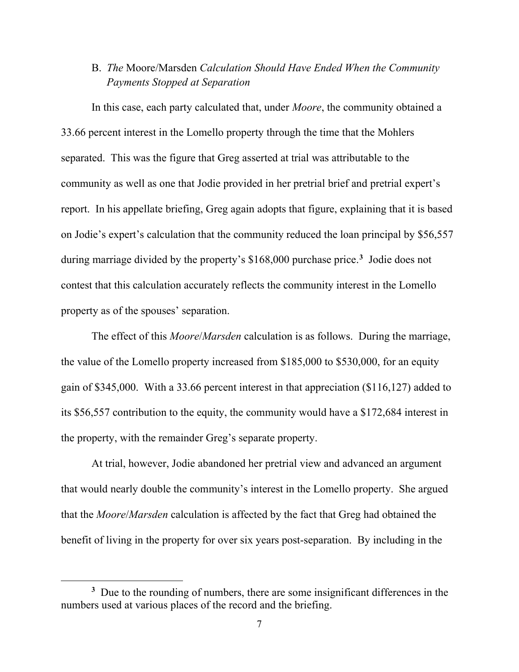# B. *The* Moore/Marsden *Calculation Should Have Ended When the Community Payments Stopped at Separation*

In this case, each party calculated that, under *Moore*, the community obtained a 33.66 percent interest in the Lomello property through the time that the Mohlers separated. This was the figure that Greg asserted at trial was attributable to the community as well as one that Jodie provided in her pretrial brief and pretrial expert's report. In his appellate briefing, Greg again adopts that figure, explaining that it is based on Jodie's expert's calculation that the community reduced the loan principal by \$56,557 during marriage divided by the property's \$168,000 purchase price.**[3](#page-6-0)** Jodie does not contest that this calculation accurately reflects the community interest in the Lomello property as of the spouses' separation.

The effect of this *Moore*/*Marsden* calculation is as follows. During the marriage, the value of the Lomello property increased from \$185,000 to \$530,000, for an equity gain of \$345,000. With a 33.66 percent interest in that appreciation (\$116,127) added to its \$56,557 contribution to the equity, the community would have a \$172,684 interest in the property, with the remainder Greg's separate property.

At trial, however, Jodie abandoned her pretrial view and advanced an argument that would nearly double the community's interest in the Lomello property. She argued that the *Moore*/*Marsden* calculation is affected by the fact that Greg had obtained the benefit of living in the property for over six years post-separation. By including in the

<span id="page-6-0"></span>**<sup>3</sup>** Due to the rounding of numbers, there are some insignificant differences in the numbers used at various places of the record and the briefing.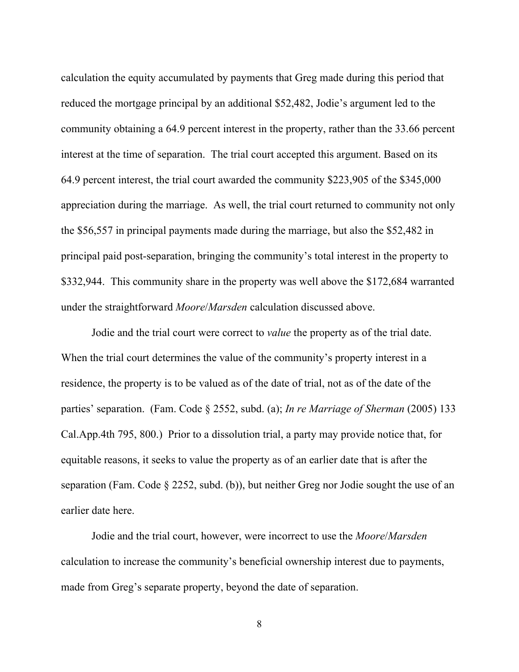calculation the equity accumulated by payments that Greg made during this period that reduced the mortgage principal by an additional \$52,482, Jodie's argument led to the community obtaining a 64.9 percent interest in the property, rather than the 33.66 percent interest at the time of separation. The trial court accepted this argument. Based on its 64.9 percent interest, the trial court awarded the community \$223,905 of the \$345,000 appreciation during the marriage. As well, the trial court returned to community not only the \$56,557 in principal payments made during the marriage, but also the \$52,482 in principal paid post-separation, bringing the community's total interest in the property to \$332,944. This community share in the property was well above the \$172,684 warranted under the straightforward *Moore*/*Marsden* calculation discussed above.

Jodie and the trial court were correct to *value* the property as of the trial date. When the trial court determines the value of the community's property interest in a residence, the property is to be valued as of the date of trial, not as of the date of the parties' separation. (Fam. Code § 2552, subd. (a); *In re Marriage of Sherman* (2005) 133 Cal.App.4th 795, 800.) Prior to a dissolution trial, a party may provide notice that, for equitable reasons, it seeks to value the property as of an earlier date that is after the separation (Fam. Code § 2252, subd. (b)), but neither Greg nor Jodie sought the use of an earlier date here.

Jodie and the trial court, however, were incorrect to use the *Moore*/*Marsden* calculation to increase the community's beneficial ownership interest due to payments, made from Greg's separate property, beyond the date of separation.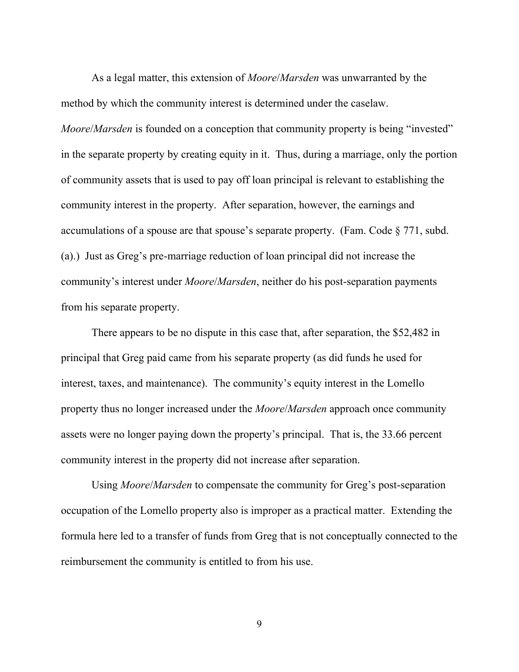As a legal matter, this extension of *Moore*/*Marsden* was unwarranted by the method by which the community interest is determined under the caselaw. *Moore/Marsden* is founded on a conception that community property is being "invested" in the separate property by creating equity in it. Thus, during a marriage, only the portion of community assets that is used to pay off loan principal is relevant to establishing the community interest in the property. After separation, however, the earnings and accumulations of a spouse are that spouse's separate property. (Fam. Code  $\S 771$ , subd. (a).) Just as Greg's pre-marriage reduction of loan principal did not increase the community's interest under *Moore*/*Marsden*, neither do his post-separation payments from his separate property.

There appears to be no dispute in this case that, after separation, the \$52,482 in principal that Greg paid came from his separate property (as did funds he used for interest, taxes, and maintenance). The community's equity interest in the Lomello property thus no longer increased under the *Moore*/*Marsden* approach once community assets were no longer paying down the property's principal. That is, the 33.66 percent community interest in the property did not increase after separation.

Using *Moore*/*Marsden* to compensate the community for Greg's post-separation occupation of the Lomello property also is improper as a practical matter. Extending the formula here led to a transfer of funds from Greg that is not conceptually connected to the reimbursement the community is entitled to from his use.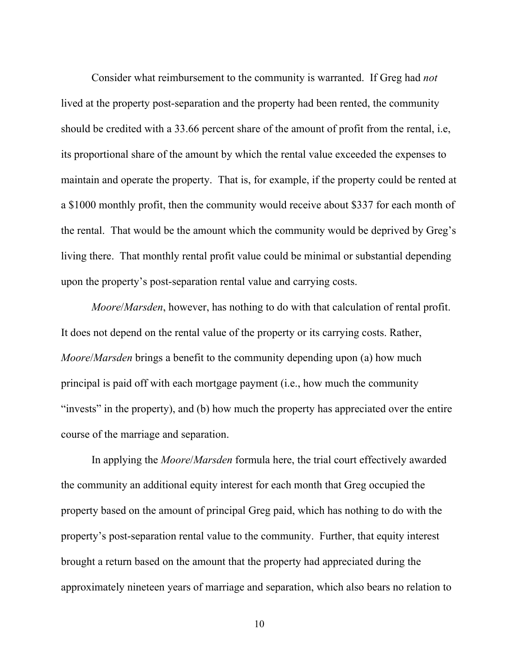Consider what reimbursement to the community is warranted. If Greg had *not* lived at the property post-separation and the property had been rented, the community should be credited with a 33.66 percent share of the amount of profit from the rental, i.e, its proportional share of the amount by which the rental value exceeded the expenses to maintain and operate the property. That is, for example, if the property could be rented at a \$1000 monthly profit, then the community would receive about \$337 for each month of the rental. That would be the amount which the community would be deprived by Greg's living there. That monthly rental profit value could be minimal or substantial depending upon the property's post-separation rental value and carrying costs.

*Moore*/*Marsden*, however, has nothing to do with that calculation of rental profit. It does not depend on the rental value of the property or its carrying costs. Rather, *Moore*/*Marsden* brings a benefit to the community depending upon (a) how much principal is paid off with each mortgage payment (i.e., how much the community "invests" in the property), and (b) how much the property has appreciated over the entire course of the marriage and separation.

In applying the *Moore*/*Marsden* formula here, the trial court effectively awarded the community an additional equity interest for each month that Greg occupied the property based on the amount of principal Greg paid, which has nothing to do with the property's post-separation rental value to the community. Further, that equity interest brought a return based on the amount that the property had appreciated during the approximately nineteen years of marriage and separation, which also bears no relation to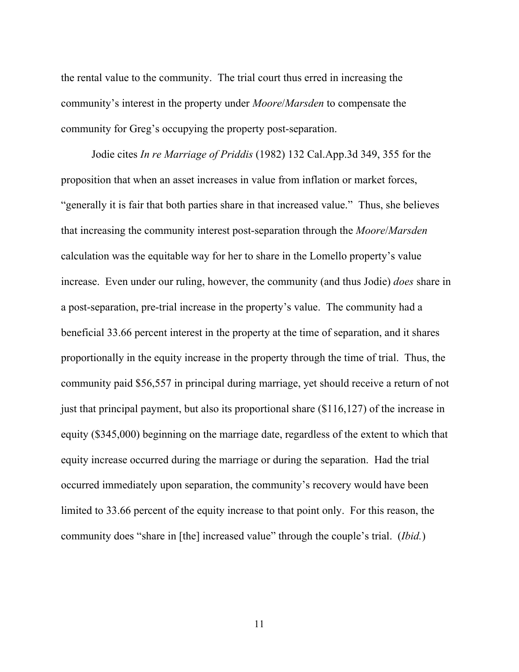the rental value to the community. The trial court thus erred in increasing the community's interest in the property under *Moore*/*Marsden* to compensate the community for Greg's occupying the property post-separation.

Jodie cites *In re Marriage of Priddis* (1982) 132 Cal.App.3d 349, 355 for the proposition that when an asset increases in value from inflation or market forces, "generally it is fair that both parties share in that increased value." Thus, she believes that increasing the community interest post-separation through the *Moore*/*Marsden* calculation was the equitable way for her to share in the Lomello property's value increase. Even under our ruling, however, the community (and thus Jodie) *does* share in a post-separation, pre-trial increase in the property's value. The community had a beneficial 33.66 percent interest in the property at the time of separation, and it shares proportionally in the equity increase in the property through the time of trial. Thus, the community paid \$56,557 in principal during marriage, yet should receive a return of not just that principal payment, but also its proportional share (\$116,127) of the increase in equity (\$345,000) beginning on the marriage date, regardless of the extent to which that equity increase occurred during the marriage or during the separation. Had the trial occurred immediately upon separation, the community's recovery would have been limited to 33.66 percent of the equity increase to that point only. For this reason, the community does "share in [the] increased value" through the couple's trial. (*Ibid.*)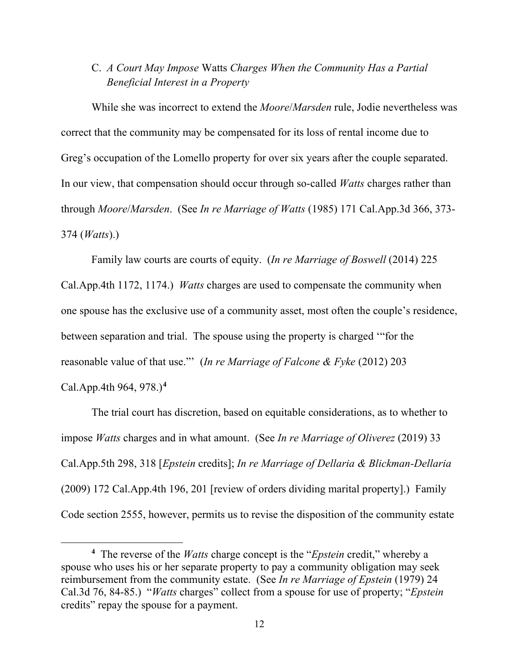## C. *A Court May Impose* Watts *Charges When the Community Has a Partial Beneficial Interest in a Property*

While she was incorrect to extend the *Moore*/*Marsden* rule, Jodie nevertheless was correct that the community may be compensated for its loss of rental income due to Greg's occupation of the Lomello property for over six years after the couple separated. In our view, that compensation should occur through so-called *Watts* charges rather than through *Moore*/*Marsden*. (See *In re Marriage of Watts* (1985) 171 Cal.App.3d 366, 373- 374 (*Watts*).)

Family law courts are courts of equity. (*In re Marriage of Boswell* (2014) 225 Cal.App.4th 1172, 1174.) *Watts* charges are used to compensate the community when one spouse has the exclusive use of a community asset, most often the couple's residence, between separation and trial. The spouse using the property is charged '"for the reasonable value of that use."' (*In re Marriage of Falcone & Fyke* (2012) 203 Cal.App.4th 964, 978.)**[4](#page-11-0)**

The trial court has discretion, based on equitable considerations, as to whether to impose *Watts* charges and in what amount. (See *In re Marriage of Oliverez* (2019) 33 Cal.App.5th 298, 318 [*Epstein* credits]; *In re Marriage of Dellaria & Blickman-Dellaria* (2009) 172 Cal.App.4th 196, 201 [review of orders dividing marital property].) Family Code section 2555, however, permits us to revise the disposition of the community estate

<span id="page-11-0"></span>**<sup>4</sup>** The reverse of the *Watts* charge concept is the "*Epstein* credit," whereby a spouse who uses his or her separate property to pay a community obligation may seek reimbursement from the community estate. (See *In re Marriage of Epstein* (1979) 24 Cal.3d 76, 84-85.) "*Watts* charges" collect from a spouse for use of property; "*Epstein* credits" repay the spouse for a payment.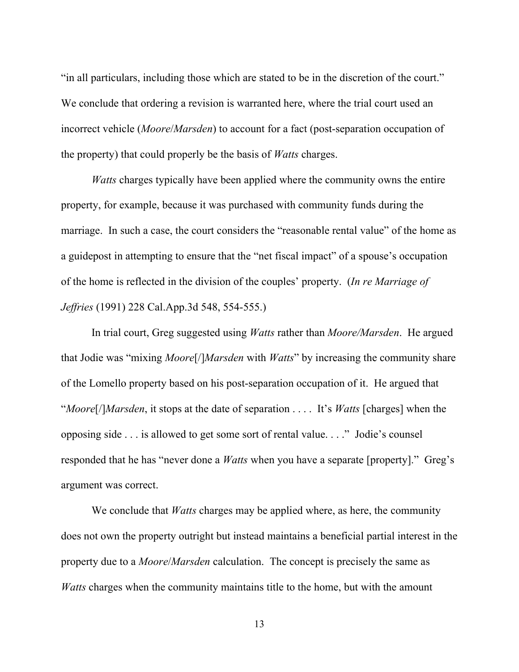"in all particulars, including those which are stated to be in the discretion of the court." We conclude that ordering a revision is warranted here, where the trial court used an incorrect vehicle (*Moore*/*Marsden*) to account for a fact (post-separation occupation of the property) that could properly be the basis of *Watts* charges.

*Watts* charges typically have been applied where the community owns the entire property, for example, because it was purchased with community funds during the marriage. In such a case, the court considers the "reasonable rental value" of the home as a guidepost in attempting to ensure that the "net fiscal impact" of a spouse's occupation of the home is reflected in the division of the couples' property. (*In re Marriage of Jeffries* (1991) 228 Cal.App.3d 548, 554-555.)

In trial court, Greg suggested using *Watts* rather than *Moore/Marsden*. He argued that Jodie was "mixing *Moore*[/]*Marsden* with *Watts*" by increasing the community share of the Lomello property based on his post-separation occupation of it. He argued that "*Moore*[/]*Marsden*, it stops at the date of separation . . . . It's *Watts* [charges] when the opposing side . . . is allowed to get some sort of rental value. . . ." Jodie's counsel responded that he has "never done a *Watts* when you have a separate [property]." Greg's argument was correct.

We conclude that *Watts* charges may be applied where, as here, the community does not own the property outright but instead maintains a beneficial partial interest in the property due to a *Moore*/*Marsden* calculation. The concept is precisely the same as *Watts* charges when the community maintains title to the home, but with the amount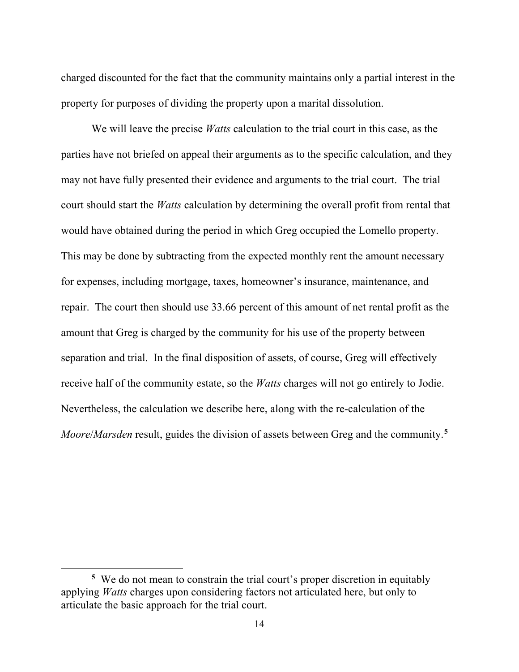charged discounted for the fact that the community maintains only a partial interest in the property for purposes of dividing the property upon a marital dissolution.

We will leave the precise *Watts* calculation to the trial court in this case, as the parties have not briefed on appeal their arguments as to the specific calculation, and they may not have fully presented their evidence and arguments to the trial court. The trial court should start the *Watts* calculation by determining the overall profit from rental that would have obtained during the period in which Greg occupied the Lomello property. This may be done by subtracting from the expected monthly rent the amount necessary for expenses, including mortgage, taxes, homeowner's insurance, maintenance, and repair. The court then should use 33.66 percent of this amount of net rental profit as the amount that Greg is charged by the community for his use of the property between separation and trial. In the final disposition of assets, of course, Greg will effectively receive half of the community estate, so the *Watts* charges will not go entirely to Jodie. Nevertheless, the calculation we describe here, along with the re-calculation of the *Moore*/*Marsden* result, guides the division of assets between Greg and the community.**[5](#page-13-0)**

<span id="page-13-0"></span>**<sup>5</sup>** We do not mean to constrain the trial court's proper discretion in equitably applying *Watts* charges upon considering factors not articulated here, but only to articulate the basic approach for the trial court.